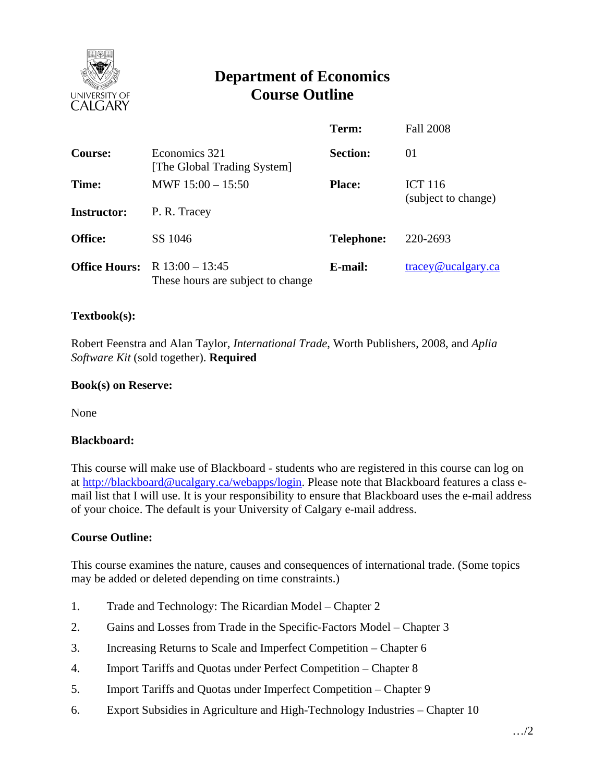

# **Department of Economics Course Outline**

|                      |                                                        | Term:             | <b>Fall 2008</b>                      |
|----------------------|--------------------------------------------------------|-------------------|---------------------------------------|
| Course:              | Economics 321<br>[The Global Trading System]           | <b>Section:</b>   | 01                                    |
| Time:                | MWF $15:00 - 15:50$                                    | <b>Place:</b>     | <b>ICT 116</b><br>(subject to change) |
| <b>Instructor:</b>   | P. R. Tracey                                           |                   |                                       |
| <b>Office:</b>       | SS 1046                                                | <b>Telephone:</b> | 220-2693                              |
| <b>Office Hours:</b> | R $13:00 - 13:45$<br>These hours are subject to change | E-mail:           | $trace$ y@ucalgary.ca                 |

### **Textbook(s):**

Robert Feenstra and Alan Taylor, *International Trade*, Worth Publishers, 2008, and *Aplia Software Kit* (sold together). **Required** 

#### **Book(s) on Reserve:**

None

#### **Blackboard:**

This course will make use of Blackboard - students who are registered in this course can log on at http://blackboard@ucalgary.ca/webapps/login. Please note that Blackboard features a class email list that I will use. It is your responsibility to ensure that Blackboard uses the e-mail address of your choice. The default is your University of Calgary e-mail address.

## **Course Outline:**

This course examines the nature, causes and consequences of international trade. (Some topics may be added or deleted depending on time constraints.)

- 1. Trade and Technology: The Ricardian Model Chapter 2
- 2. Gains and Losses from Trade in the Specific-Factors Model Chapter 3
- 3. Increasing Returns to Scale and Imperfect Competition Chapter 6
- 4. Import Tariffs and Quotas under Perfect Competition Chapter 8
- 5. Import Tariffs and Quotas under Imperfect Competition Chapter 9
- 6. Export Subsidies in Agriculture and High-Technology Industries Chapter 10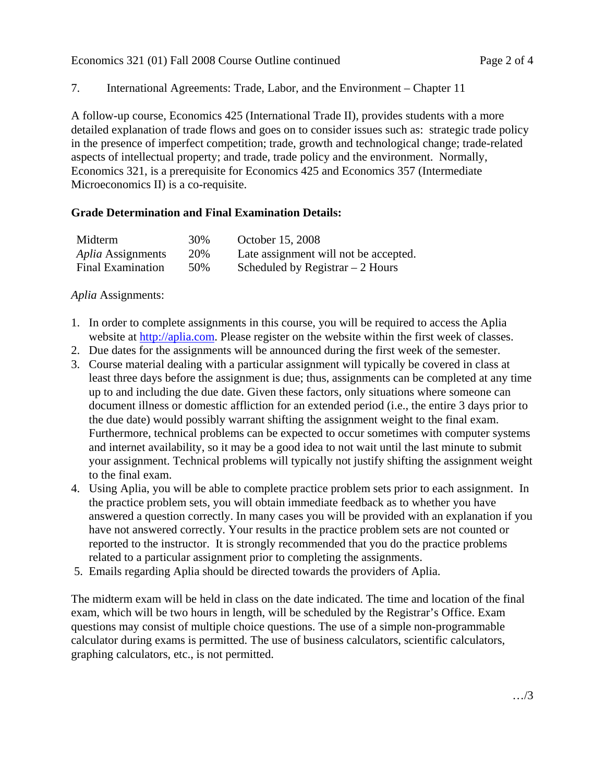Economics 321 (01) Fall 2008 Course Outline continued Page 2 of 4

## 7. International Agreements: Trade, Labor, and the Environment – Chapter 11

A follow-up course, Economics 425 (International Trade II), provides students with a more detailed explanation of trade flows and goes on to consider issues such as: strategic trade policy in the presence of imperfect competition; trade, growth and technological change; trade-related aspects of intellectual property; and trade, trade policy and the environment. Normally, Economics 321, is a prerequisite for Economics 425 and Economics 357 (Intermediate Microeconomics II) is a co-requisite.

## **Grade Determination and Final Examination Details:**

| Midterm                  | 30% | October 15, 2008                      |
|--------------------------|-----|---------------------------------------|
| <i>Aplia Assignments</i> | 20% | Late assignment will not be accepted. |
| <b>Final Examination</b> | 50% | Scheduled by Registrar $-2$ Hours     |

*Aplia* Assignments:

- 1. In order to complete assignments in this course, you will be required to access the Aplia website at http://aplia.com. Please register on the website within the first week of classes.
- 2. Due dates for the assignments will be announced during the first week of the semester.
- 3. Course material dealing with a particular assignment will typically be covered in class at least three days before the assignment is due; thus, assignments can be completed at any time up to and including the due date. Given these factors, only situations where someone can document illness or domestic affliction for an extended period (i.e., the entire 3 days prior to the due date) would possibly warrant shifting the assignment weight to the final exam. Furthermore, technical problems can be expected to occur sometimes with computer systems and internet availability, so it may be a good idea to not wait until the last minute to submit your assignment. Technical problems will typically not justify shifting the assignment weight to the final exam.
- 4. Using Aplia, you will be able to complete practice problem sets prior to each assignment. In the practice problem sets, you will obtain immediate feedback as to whether you have answered a question correctly. In many cases you will be provided with an explanation if you have not answered correctly. Your results in the practice problem sets are not counted or reported to the instructor. It is strongly recommended that you do the practice problems related to a particular assignment prior to completing the assignments.
- 5. Emails regarding Aplia should be directed towards the providers of Aplia.

The midterm exam will be held in class on the date indicated. The time and location of the final exam, which will be two hours in length, will be scheduled by the Registrar's Office. Exam questions may consist of multiple choice questions. The use of a simple non-programmable calculator during exams is permitted. The use of business calculators, scientific calculators, graphing calculators, etc., is not permitted.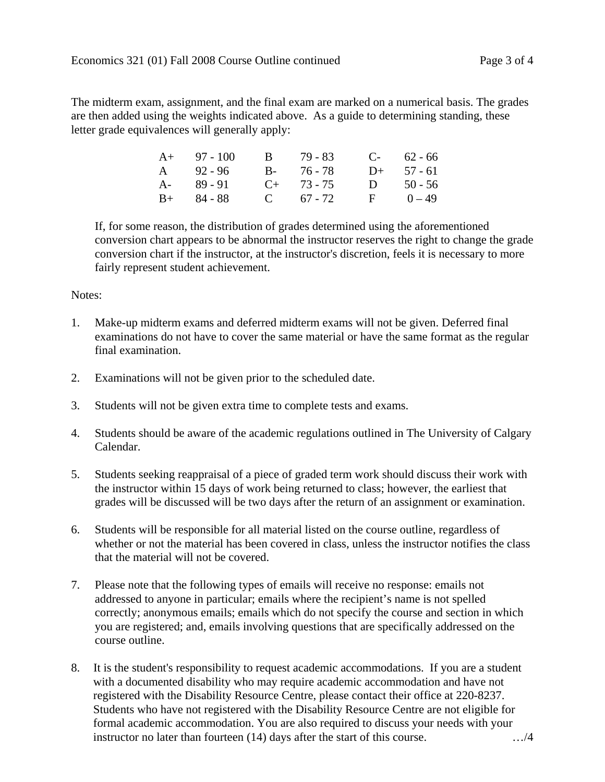The midterm exam, assignment, and the final exam are marked on a numerical basis. The grades are then added using the weights indicated above. As a guide to determining standing, these letter grade equivalences will generally apply:

| $A+ 97-100$   | B 79 - 83       |              | $C-62-66$    |
|---------------|-----------------|--------------|--------------|
| A 92-96       | $B - 76 - 78$   |              | $D+ 57 - 61$ |
| $A - 89 - 91$ | $C_{+}$ 73 - 75 | D            | $50 - 56$    |
| $B+ 84-88$    | C $67 - 72$     | $\mathbf{F}$ | $0 - 49$     |

If, for some reason, the distribution of grades determined using the aforementioned conversion chart appears to be abnormal the instructor reserves the right to change the grade conversion chart if the instructor, at the instructor's discretion, feels it is necessary to more fairly represent student achievement.

#### Notes:

- 1. Make-up midterm exams and deferred midterm exams will not be given. Deferred final examinations do not have to cover the same material or have the same format as the regular final examination.
- 2. Examinations will not be given prior to the scheduled date.
- 3. Students will not be given extra time to complete tests and exams.
- 4. Students should be aware of the academic regulations outlined in The University of Calgary Calendar.
- 5. Students seeking reappraisal of a piece of graded term work should discuss their work with the instructor within 15 days of work being returned to class; however, the earliest that grades will be discussed will be two days after the return of an assignment or examination.
- 6. Students will be responsible for all material listed on the course outline, regardless of whether or not the material has been covered in class, unless the instructor notifies the class that the material will not be covered.
- 7. Please note that the following types of emails will receive no response: emails not addressed to anyone in particular; emails where the recipient's name is not spelled correctly; anonymous emails; emails which do not specify the course and section in which you are registered; and, emails involving questions that are specifically addressed on the course outline.
- 8. It is the student's responsibility to request academic accommodations. If you are a student with a documented disability who may require academic accommodation and have not registered with the Disability Resource Centre, please contact their office at 220-8237. Students who have not registered with the Disability Resource Centre are not eligible for formal academic accommodation. You are also required to discuss your needs with your instructor no later than fourteen (14) days after the start of this course. …/4